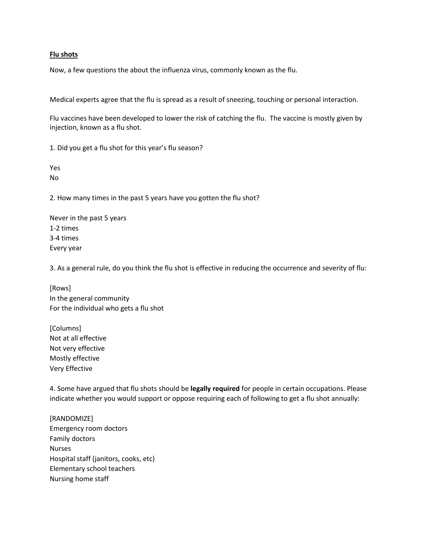## **Flu shots**

Now, a few questions the about the influenza virus, commonly known as the flu.

Medical experts agree that the flu is spread as a result of sneezing, touching or personal interaction.

Flu vaccines have been developed to lower the risk of catching the flu. The vaccine is mostly given by injection, known as a flu shot.

1. Did you get a flu shot for this year's flu season?

Yes No

2. How many times in the past 5 years have you gotten the flu shot?

Never in the past 5 years 1-2 times 3-4 times Every year

3. As a general rule, do you think the flu shot is effective in reducing the occurrence and severity of flu:

[Rows] In the general community For the individual who gets a flu shot

[Columns] Not at all effective Not very effective Mostly effective Very Effective

4. Some have argued that flu shots should be **legally required** for people in certain occupations. Please indicate whether you would support or oppose requiring each of following to get a flu shot annually:

[RANDOMIZE] Emergency room doctors Family doctors Nurses Hospital staff (janitors, cooks, etc) Elementary school teachers Nursing home staff